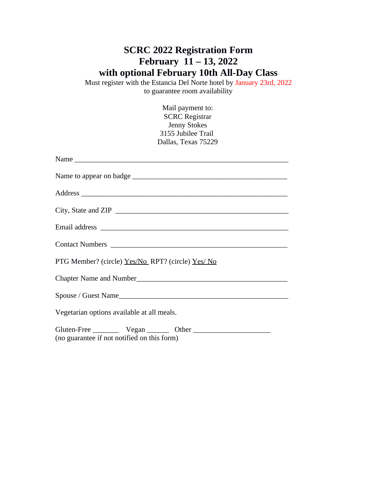## **SCRC 2022 Registration Form February 11 – 13, 2022 with optional February 10th All-Day Class**

Must register with the Estancia Del Norte hotel by January 23rd, 2022 to guarantee room availability

> Mail payment to: SCRC Registrar Jenny Stokes 3155 Jubilee Trail Dallas, Texas 75229

| City, State and ZIP                                                                                                             |
|---------------------------------------------------------------------------------------------------------------------------------|
|                                                                                                                                 |
|                                                                                                                                 |
| PTG Member? (circle) Yes/No RPT? (circle) Yes/No                                                                                |
|                                                                                                                                 |
|                                                                                                                                 |
| Vegetarian options available at all meals.                                                                                      |
| Gluten-Free ___________ Vegan _________ Other __________________________________<br>(no guarantee if not notified on this form) |